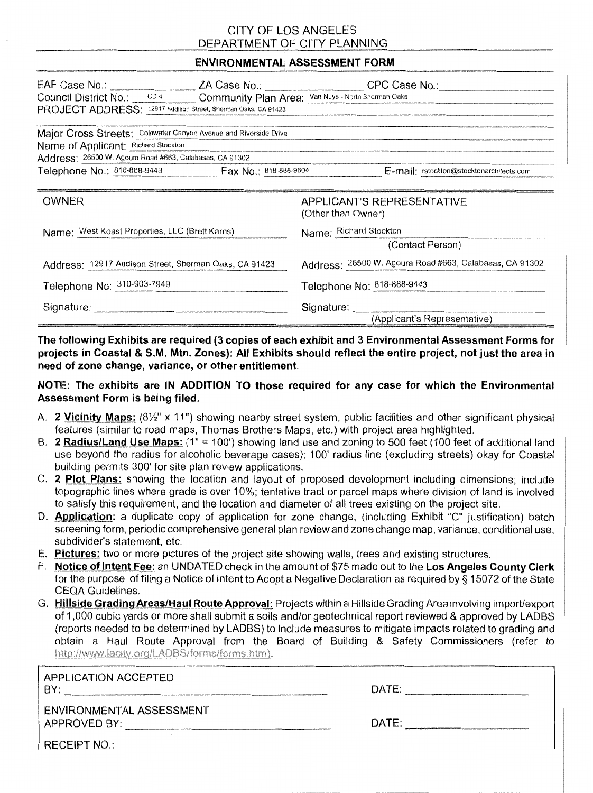## CITY OF LOS ANGELES DEPARTMENT OF CITY PLANNING

### ENVIRONMENTAL ASSESSMENT FORM

| Council District No.: CD4 Community Plan Area: Van Nuys - North Sherman Oaks |  |                                                         |  |
|------------------------------------------------------------------------------|--|---------------------------------------------------------|--|
| PROJECT ADDRESS: 12917 Addison Street, Sherman Oaks, CA 91423                |  |                                                         |  |
| Major Cross Streets: Coldwater Canyon Avenue and Riverside Drive             |  |                                                         |  |
| Name of Applicant: Richard Stockton                                          |  |                                                         |  |
| Address: 26500 W. Agoura Road #663, Calabasas, CA 91302                      |  |                                                         |  |
| Telephone No.: 818-888-9443  Fax No.: 818-888-9604                           |  | E-mail: rstockton@stocktonarchitects.com                |  |
|                                                                              |  |                                                         |  |
| OWNER                                                                        |  | <b>APPLICANT'S REPRESENTATIVE</b>                       |  |
|                                                                              |  | (Other than Owner)                                      |  |
| Name: West Koast Properties, LLC (Brett Karns)                               |  | Name: Richard Stockton                                  |  |
|                                                                              |  | (Contact Person)                                        |  |
| Address: 12917 Addison Street, Sherman Oaks, CA 91423                        |  | Address: 26500 W. Agoura Road #663, Calabasas, CA 91302 |  |
| Telephone No: 310-903-7949                                                   |  | Telephone No: 818-888-9443                              |  |
|                                                                              |  | Signature:                                              |  |
|                                                                              |  | (Applicant's Representative)                            |  |

The following Exhibits are required (3 copies of each exhibit and 3 Environmental Assessment Forms for projects in Coastal & S.M. Mtn. Zones): All Exhibits should reflect the entire project, not just the area in need of zone change, variance, or other entitlement.

### NOTE: The exhibits are IN ADDITION TO those required for any case for which the Environmental Assessment Form is being filed.

- A. 2 Vicinity Maps:  $(8\frac{1}{2}$ " x 11") showing nearby street system, public facilities and other significant physical features (similar to road maps, Thomas Brothers Maps, etc.) with project area highlighted.
- B. 2 Radius/Land Use Maps:  $(1" = 100')$  showing land use and zoning to 500 feet (100 feet of additional land use beyond the radius for alcoholic beverage cases); 100' radius line (excluding streets) okay for Coastal building permits 300' for site plan review applications.
- C. 2 Plot Plans: showing the location and layout of proposed development including dimensions; include topographic lines where grade is over 10%; tentative tract or parcel maps where division of land is involved to satisfy this requirement, and the location and diameter of all trees existing on the project site.
- D. **Application:** a duplicate copy of application for zone change, (including Exhibit "C" justification) batch screening form, periodic comprehensive general plan review and zone change map, variance, conditional use, subdivider's statement, etc.
- E. Pictures: two or more pictures of the project site showing walls, trees and existing structures.
- F. Notice of Intent Fee: an UNDATED check in the amount of \$75 made out to the Los Angeles County Clerk for the purpose of filing a Notice of Intent to Adopt a Negative Declaration as required by § 15072 of the State CEQA Guidelines.
- G. Hillside Grading Areas/Haul Route Agproval: Projects within a Hillside Grading Area involving import/export of 1,000 cubic yards or more shall submit a soils and/or geotechnical report reviewed & approved by LADBS (reports needed to be determined by LADBS) to include measures to mitigate impacts related to grading and obtain a Haul Route Approval from the Board of Building & Safety Commissioners (refer to http://www.lacity.org/LADBS/forms/forms.htm).

| APPLICATION ACCEPTED<br>BY:                | DATE: |
|--------------------------------------------|-------|
| I ENVIRONMENTAL ASSESSMENT<br>APPROVED BY: | DATE: |
| I RECEIPT NO∴.                             |       |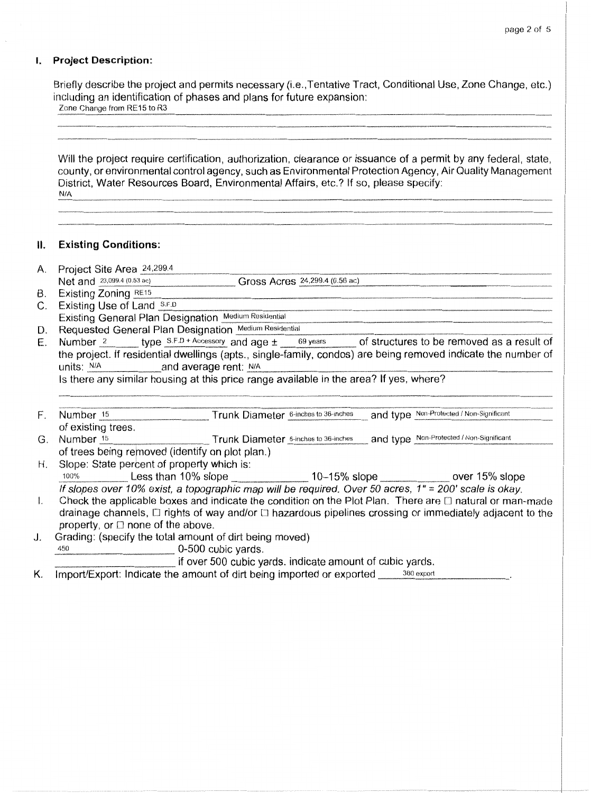#### **I. Project Description:**

Briefly describe the project and permits necessary (i.e., Tentative Tract, Conditional Use, Zone Change, etc.) including an identification of phases and plans for future expansion:

| Zone Change from RE15 to R3 |  |  |
|-----------------------------|--|--|
|                             |  |  |

Will the project require certification, authorization, clearance or issuance of a permit by any federal, state, county, or environmental control agency, such as Environmental Protection Agency, Air Quality Management District, Water Resources Board, Environmental Affairs, etc.? If so, please specify: NIA

#### **II. Existing Conditions:**

- 
- A. Project Site Area  $\frac{24,299.4}{299.4}$  Gross Acres  $\frac{24,299.4}{299.4}$  (0.56 ac) Net and 2J,099.4 Gross Acres------------~-------·--~- B. Existing Zoning \_RE\_··1\_s \_\_\_\_\_\_ \_
- B. Existing Zoning RE15<br>C. Existing Use of Land S.F.D
- Existing General Plan Designation Medium Residential
- D. Requested General Plan Designation Medium Residential<br>E. Number <sup>2</sup> type S.F.D + Accessory and age  $\pm$  69 years
- of structures to be removed as a result of the project. If residential dwellings (apts., single-family, condos) are being removed indicate the number of units: NIA average rent: NIA \_\_\_\_\_\_\_\_\_\_\_\_\_\_\_\_\_\_\_\_\_\_\_ <sup>~</sup>

Is there any similar housing at this price range available in the area? If yes, where?

- F. Number 15 Trunk Diameter 6-inches to 36-inches and type Non-Protected / Non-Significant of existing trees.
- G. Number 15 Trunk Diameter 6-inches to 36-inches and type Non-Protected / Non-Significant of trees being removed (identify on plot plan.)
- H. Slope: State percent of property which is: 100% Less than 10% slope ... " 10-15% slope ... " ... " over 15% slope If slopes over 10% exist, a topographic map will be required. Over 50 acres, 1" = 200' scale is okay.

I. Check the applicable boxes and indicate the condition on the Plot Plan. There are  $\Box$  natural or man-made drainage channels,  $\Box$  rights of way and/or  $\Box$  hazardous pipelines crossing or immediately adjacent to the property, or  $\square$  none of the above.

J. Grading: (specify the total amount of dirt being moved)

 $450$  0-500 cubic yards.

if over 500 cubic yards. indicate amount of cubic yards.<br>a amount of dirt being imported or exported a<sup>360 export</sup>

K. Import/Export: Indicate the amount of dirt being imported or exported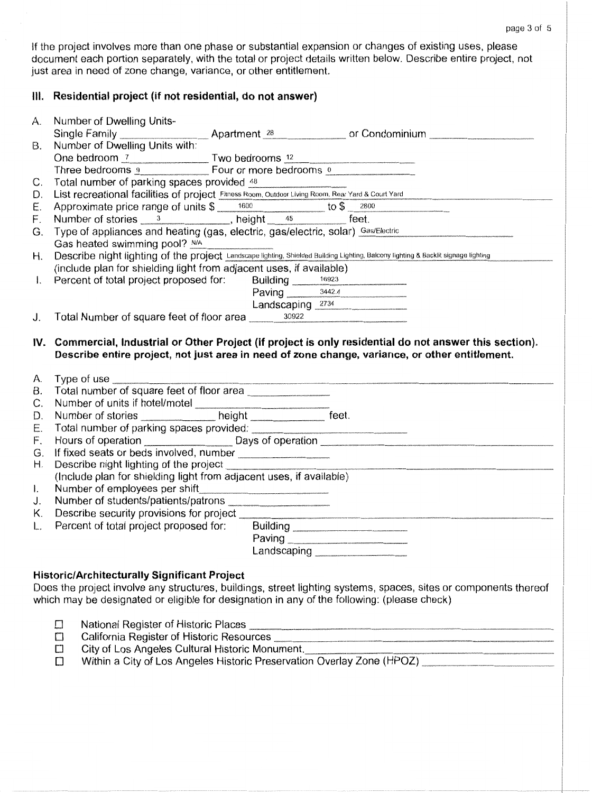If the project involves more than one phase or substantial expansion or changes of existing uses, please document each portion separately, with the total or project details written below. Describe entire project, not just area in need of zone change, variance, or other entitlement.

# **Ill. Residential project (if not residential, do not answer)**

|                | A. Number of Dwelling Units-                                                                                                                                                                               |  |  |  |
|----------------|------------------------------------------------------------------------------------------------------------------------------------------------------------------------------------------------------------|--|--|--|
|                |                                                                                                                                                                                                            |  |  |  |
| В.             |                                                                                                                                                                                                            |  |  |  |
|                | One bedroom <u>7 Two bedrooms 12</u>                                                                                                                                                                       |  |  |  |
|                | Three bedrooms 9 Four or more bedrooms 0                                                                                                                                                                   |  |  |  |
| С.             |                                                                                                                                                                                                            |  |  |  |
| D.             | Total number of parking spaces provided 48<br>List recreational facilities of project Fitness Room, Outdoor Living Room, Rear Yard & Court Yard                                                            |  |  |  |
| E.             |                                                                                                                                                                                                            |  |  |  |
| F.             | Approximate price range of units $\frac{1600}{1600}$ to $\frac{2800}{1600}$ to $\frac{2800}{1600}$                                                                                                         |  |  |  |
| G.             | Type of appliances and heating (gas, electric, gas/electric, solar) Gas/Electric<br>Gas heated swimming pool? N/A                                                                                          |  |  |  |
| Η.             | Describe night lighting of the project Landscape lighting, Shielded Building Lighting, Balcony lighting & Backlit signage lighting                                                                         |  |  |  |
|                | (include plan for shielding light from adjacent uses, if available)                                                                                                                                        |  |  |  |
| $\mathbf{I}$ . | Percent of total project proposed for: Building 16923<br>Paving 3442.4                                                                                                                                     |  |  |  |
|                |                                                                                                                                                                                                            |  |  |  |
|                | Landscaping 2734                                                                                                                                                                                           |  |  |  |
| J.             | Total Number of square feet of floor area 30922                                                                                                                                                            |  |  |  |
|                |                                                                                                                                                                                                            |  |  |  |
|                | IV. Commercial, Industrial or Other Project (if project is only residential do not answer this section).<br>Describe entire project, not just area in need of zone change, variance, or other entitlement. |  |  |  |
|                |                                                                                                                                                                                                            |  |  |  |
| A.             | Type of use                                                                                                                                                                                                |  |  |  |
| В.             | Type of use<br>Total number of square feet of floor area                                                                                                                                                   |  |  |  |
| С.             |                                                                                                                                                                                                            |  |  |  |
| D.             |                                                                                                                                                                                                            |  |  |  |
| Е.             |                                                                                                                                                                                                            |  |  |  |
| F.             |                                                                                                                                                                                                            |  |  |  |
| G.             |                                                                                                                                                                                                            |  |  |  |
| Η.             | Describe night lighting of the project _________                                                                                                                                                           |  |  |  |
|                | (Include plan for shielding light from adjacent uses, if available)                                                                                                                                        |  |  |  |
| $\mathsf{L}$   | Number of employees per shift                                                                                                                                                                              |  |  |  |
| J.             |                                                                                                                                                                                                            |  |  |  |
| K.             | Describe security provisions for project ______                                                                                                                                                            |  |  |  |
| L.             | Percent of total project proposed for:<br>Building                                                                                                                                                         |  |  |  |
|                |                                                                                                                                                                                                            |  |  |  |
|                | Landscaping                                                                                                                                                                                                |  |  |  |
|                |                                                                                                                                                                                                            |  |  |  |
|                | <b>Historic/Architecturally Significant Project</b>                                                                                                                                                        |  |  |  |
|                | Does the project involve any structures, buildings, street lighting systems, spaces, sites or components thereof                                                                                           |  |  |  |
|                | which may be designated or eligible for designation in any of the following: (please check)                                                                                                                |  |  |  |
|                |                                                                                                                                                                                                            |  |  |  |
|                | C)                                                                                                                                                                                                         |  |  |  |
|                | $\Box$                                                                                                                                                                                                     |  |  |  |
|                | <b>C</b>                                                                                                                                                                                                   |  |  |  |
|                | City of Los Angeles Cultural Historic Monument.<br>Within a City of Los Angeles Historic Preservation Overlay Zone (HPOZ)<br>Ľ,                                                                            |  |  |  |
|                |                                                                                                                                                                                                            |  |  |  |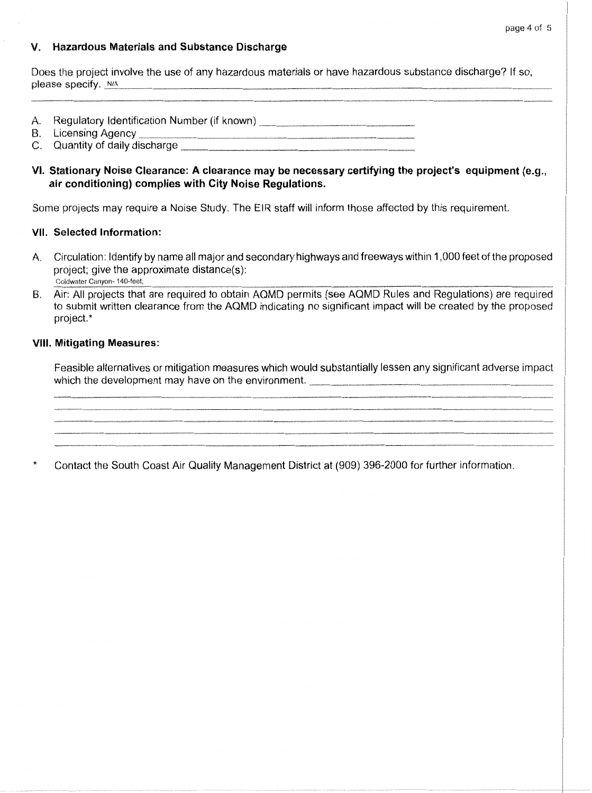#### page 4 of 5

### **V. Hazardous Materials and Substance Discharge**

Does the project involve the use of any hazardous materials or have hazardous substance discharge? If so, please specify. N/A

- A. Regulatory Identification Number (if known)
- 8. Licensing Agency---------·-~·~---·~-~-·~·-·~--
- C. Quantity of daily discharge-------------~-~---

### **VI. Stationary Noise Clearance: A clearance may be necessary certifying the project's equipment** (e.g., **air conditioning) complies with City Noise Regulations.**

Some projects may require a Noise Study. The EIR staff will inform those affected by this requirement.

#### **VII. Selected Information:**

- A. Circulation: Identify by name all major and secondary highways and freeways within 1, 000 feet of the proposed project; give the approximate distance(s): Coldwater Canyon- 140-feet;
- B. Air: All projects that are required to obtain AQMD permits (see AQMD Rules and Regulations) are required to submit written clearance from the AQMD indicating no significant impact will be created by the proposed project.\*

#### **VIII. Mitigating Measures:**

Feasible alternatives or mitigation measures which would substantially lessen any significant adverse impact which the development may have on the environment. \_\_\_\_\_\_\_\_\_\_\_\_\_\_\_\_\_\_\_\_\_\_\_\_\_\_\_\_\_

Contact the South Coast Air Quality Management District at (909) 396-2000 for further information.  $\star$